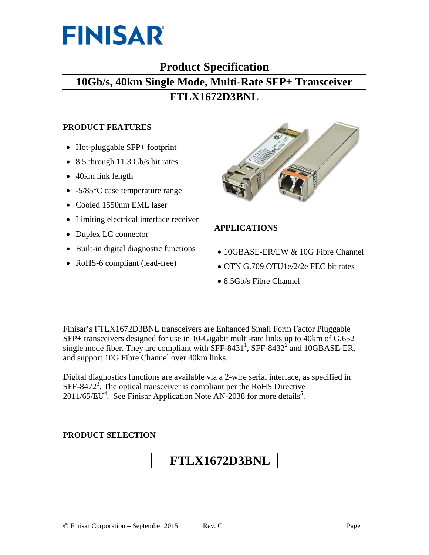

# **Product Specification 10Gb/s, 40km Single Mode, Multi-Rate SFP+ Transceiver FTLX1672D3BNL**

#### **PRODUCT FEATURES**

- Hot-pluggable SFP+ footprint
- 8.5 through 11.3 Gb/s bit rates
- 40km link length
- -5/85 °C case temperature range
- Cooled 1550nm EML laser
- Limiting electrical interface receiver
- Duplex LC connector
- Built-in digital diagnostic functions
- RoHS-6 compliant (lead-free)



## **APPLICATIONS**

- 10GBASE-ER/EW & 10G Fibre Channel
- OTN G.709 OTU1e/2/2e FEC bit rates
- 8.5Gb/s Fibre Channel

Finisar's FTLX1672D3BNL transceivers are Enhanced Small Form Factor Pluggable SFP+ transceivers designed for use in 10-Gigabit multi-rate links up to 40km of G.652 single mode fiber. They are compliant with  $\overline{\text{SFF-8431}}^1$ ,  $\overline{\text{SFF-8432}}^2$  and 10GBASE-ER, and support 10G Fibre Channel over 40km links.

Digital diagnostics functions are available via a 2-wire serial interface, as specified in  $SFF-8472<sup>3</sup>$ . The optical transceiver is compliant per the RoHS Directive  $2011/65/EU<sup>4</sup>$ . See Finisar Application Note AN-2038 for more details<sup>5</sup>.

#### **PRODUCT SELECTION**

# **FTLX1672D3BNL**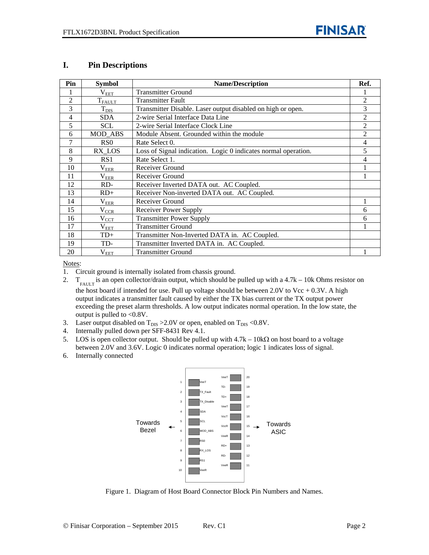#### **I. Pin Descriptions**

| Pin            | <b>Symbol</b>                         | <b>Name/Description</b>                                        | Ref.           |
|----------------|---------------------------------------|----------------------------------------------------------------|----------------|
|                | $\rm V_{EET}$                         | <b>Transmitter Ground</b>                                      |                |
| $\overline{2}$ | $T_{FAULT}$                           | <b>Transmitter Fault</b>                                       | 2              |
| 3              | $T_{\rm DIS}$                         | Transmitter Disable. Laser output disabled on high or open.    | 3              |
| 4              | <b>SDA</b>                            | 2-wire Serial Interface Data Line                              | $\overline{c}$ |
| 5              | SCL                                   | 2-wire Serial Interface Clock Line                             | $\overline{2}$ |
| 6              | MOD_ABS                               | Module Absent. Grounded within the module                      | 2              |
| $\overline{7}$ | R <sub>S</sub> O                      | Rate Select 0.                                                 | 4              |
| 8              | RX LOS                                | Loss of Signal indication. Logic 0 indicates normal operation. | 5              |
| 9              | RS1                                   | Rate Select 1.                                                 | 4              |
| 10             | $\rm V_{EER}$                         | Receiver Ground                                                |                |
| 11             | $\rm V_{E\underline{E}\underline{R}}$ | Receiver Ground                                                |                |
| 12             | RD-                                   | Receiver Inverted DATA out. AC Coupled.                        |                |
| 13             | $RD+$                                 | Receiver Non-inverted DATA out. AC Coupled.                    |                |
| 14             | $\rm V_{EER}$                         | Receiver Ground                                                |                |
| 15             | $\rm V_{CCR}$                         | <b>Receiver Power Supply</b>                                   | 6              |
| 16             | $V_{\text{CCT}}$                      | <b>Transmitter Power Supply</b>                                | 6              |
| 17             | $\rm V_{EET}$                         | <b>Transmitter Ground</b>                                      |                |
| 18             | $TD+$                                 | Transmitter Non-Inverted DATA in. AC Coupled.                  |                |
| 19             | TD-                                   | Transmitter Inverted DATA in. AC Coupled.                      |                |
| 20             | $\rm V_{EET}$                         | <b>Transmitter Ground</b>                                      |                |

Notes:

1. Circuit ground is internally isolated from chassis ground.

2.  $T_{\text{FALLT}}$  is an open collector/drain output, which should be pulled up with a 4.7k – 10k Ohms resistor on

the host board if intended for use. Pull up voltage should be between  $2.0V$  to Vcc +  $0.3V$ . A high output indicates a transmitter fault caused by either the TX bias current or the TX output power exceeding the preset alarm thresholds. A low output indicates normal operation. In the low state, the output is pulled to <0.8V.

- 3. Laser output disabled on  $T_{DIS} > 2.0V$  or open, enabled on  $T_{DIS} < 0.8V$ .
- 4. Internally pulled down per SFF-8431 Rev 4.1.
- 5. LOS is open collector output. Should be pulled up with  $4.7k 10k\Omega$  on host board to a voltage between 2.0V and 3.6V. Logic 0 indicates normal operation; logic 1 indicates loss of signal.
- 6. Internally connected



Figure 1. Diagram of Host Board Connector Block Pin Numbers and Names.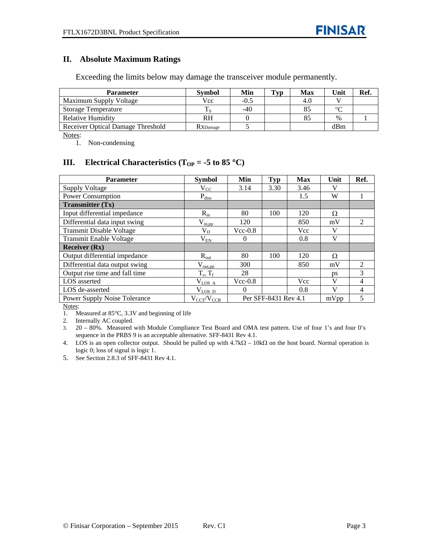#### **II. Absolute Maximum Ratings**

Exceeding the limits below may damage the transceiver module permanently.

| <b>Parameter</b>                  | <b>Symbol</b> | Min    | Typ | Max | Unit   | Ref. |
|-----------------------------------|---------------|--------|-----|-----|--------|------|
| Maximum Supply Voltage            | Vcc.          | $-0.5$ |     | 4.0 |        |      |
| <b>Storage Temperature</b>        | ᠇᠇            | $-40$  |     | 85  | $\sim$ |      |
| Relative Humidity                 | RH            |        |     |     | $\%$   |      |
| Receiver Optical Damage Threshold | RXDamage      |        |     |     | dBm    |      |

Notes:

1. Non-condensing

## **III. Electrical Characteristics** ( $T_{OP} = -5$  to 85 °C)

| <b>Parameter</b>                    | <b>Symbol</b>         | Min       | <b>Typ</b>           | <b>Max</b> | Unit | Ref.           |
|-------------------------------------|-----------------------|-----------|----------------------|------------|------|----------------|
| <b>Supply Voltage</b>               | $V_{CC}$              | 3.14      | 3.30                 | 3.46       | V    |                |
| <b>Power Consumption</b>            | $P_{\rm diss}$        |           |                      | 1.5        | W    |                |
| <b>Transmitter (Tx)</b>             |                       |           |                      |            |      |                |
| Input differential impedance        | $R_{in}$              | 80        | 100                  | 120        | Ω    |                |
| Differential data input swing       | $\rm V_{in,pp}$       | 120       |                      | 850        | mV   | $\mathfrak{D}$ |
| <b>Transmit Disable Voltage</b>     | $V_D$                 | $Vcc-0.8$ |                      | Vcc        | V    |                |
| <b>Transmit Enable Voltage</b>      | $\rm V_{EN}$          | $\theta$  |                      | 0.8        | V    |                |
| <b>Receiver (Rx)</b>                |                       |           |                      |            |      |                |
| Output differential impedance       | $R_{\text{out}}$      | 80        | 100                  | 120        | Ω    |                |
| Differential data output swing      | $V_{\text{out,pp}}$   | 300       |                      | 850        | mV   | $\mathfrak{D}$ |
| Output rise time and fall time      | $T_r, T_f$            | 28        |                      |            | ps   | 3              |
| LOS asserted                        | $V_{\rm{LOS-A}}$      | $Vec-0.8$ |                      | <b>Vcc</b> | V    | 4              |
| LOS de-asserted                     | $\rm V_{LOS~D}$       | $\Omega$  |                      | 0.8        | V    | $\overline{4}$ |
| <b>Power Supply Noise Tolerance</b> | $\rm V_{CCT}/V_{CCR}$ |           | Per SFF-8431 Rev 4.1 |            | mVpp | 5              |

Notes:

1. Measured at 85°C, 3.3V and beginning of life

2. Internally AC coupled.

3. 20 – 80%. Measured with Module Compliance Test Board and OMA test pattern. Use of four 1's and four 0's sequence in the PRBS 9 is an acceptable alternative. SFF-8431 Rev 4.1.

4. LOS is an open collector output. Should be pulled up with  $4.7k\Omega - 10k\Omega$  on the host board. Normal operation is logic 0; loss of signal is logic 1.

5. See Section 2.8.3 of SFF-8431 Rev 4.1.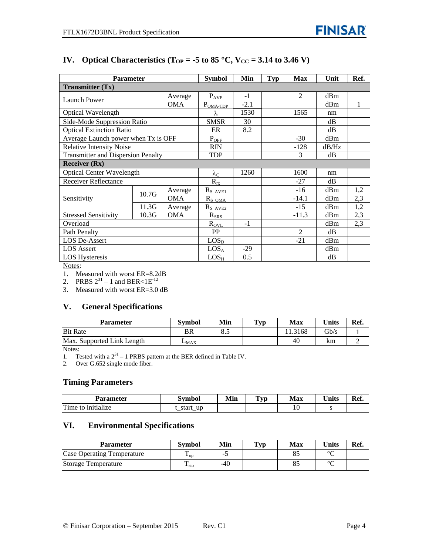| <b>Parameter</b>                          | <b>Symbol</b> | Min        | <b>Typ</b>           | <b>Max</b> | Unit | Ref.           |       |     |
|-------------------------------------------|---------------|------------|----------------------|------------|------|----------------|-------|-----|
| <b>Transmitter (Tx)</b>                   |               |            |                      |            |      |                |       |     |
| Launch Power                              |               | Average    | $P_{AVE}$            | $-1$       |      | 2              | dBm   |     |
|                                           |               | <b>OMA</b> | $P_{OMA-TDP}$        | $-2.1$     |      |                | dBm   | 1   |
| Optical Wavelength                        |               |            | λ                    | 1530       |      | 1565           | nm    |     |
| Side-Mode Suppression Ratio               |               |            | <b>SMSR</b>          | 30         |      |                | dB    |     |
| <b>Optical Extinction Ratio</b>           |               |            | ER                   | 8.2        |      |                | dB    |     |
| Average Launch power when Tx is OFF       |               |            | $P_{OEE}$            |            |      | $-30$          | dBm   |     |
| <b>Relative Intensity Noise</b>           |               |            | <b>RIN</b>           |            |      | $-128$         | dB/Hz |     |
| <b>Transmitter and Dispersion Penalty</b> |               |            | <b>TDP</b>           |            |      | 3              | dB    |     |
| <b>Receiver (Rx)</b>                      |               |            |                      |            |      |                |       |     |
| <b>Optical Center Wavelength</b>          |               |            | $\lambda_{\rm C}$    | 1260       |      | 1600           | nm    |     |
| <b>Receiver Reflectance</b>               |               |            | $R_{rx}$             |            |      | $-27$          | dВ    |     |
|                                           | 10.7G         | Average    | $R_{S \; AVE1}$      |            |      | $-16$          | dBm   | 1,2 |
| Sensitivity                               |               | <b>OMA</b> | $R_{S_{OMA}}$        |            |      | $-14.1$        | dBm   | 2,3 |
|                                           | 11.3G         | Average    | $R_{S \text{ AVE2}}$ |            |      | $-15$          | dBm   | 1,2 |
| <b>Stressed Sensitivity</b>               | 10.3G         | <b>OMA</b> | $R_{SRS}$            |            |      | $-11.3$        | dBm   | 2,3 |
| Overload                                  |               |            | $R_{\text{OVL}}$     | $-1$       |      |                | dBm   | 2,3 |
| Path Penalty                              |               |            | PP                   |            |      | $\overline{2}$ | dB    |     |
| <b>LOS De-Assert</b>                      |               |            | LOS <sub>D</sub>     |            |      | $-21$          | dBm   |     |
| <b>LOS</b> Assert                         |               |            | LOS <sub>A</sub>     | $-29$      |      |                | dBm   |     |
| <b>LOS Hysteresis</b>                     |               |            | $LOS_{H}$            | 0.5        |      |                | dB    |     |

#### **IV.** Optical Characteristics ( $T_{OP} = -5$  to 85 °C,  $V_{CC} = 3.14$  to 3.46 V)

Notes:

1. Measured with worst ER=8.2dB

2. PRBS  $2^{31} - 1$  and BER<1E<sup>-12</sup>

3. Measured with worst ER=3.0 dB

#### **V. General Specifications**

| Parameter                  | Svmbol    | Min  | Typ | Max    | <b>Units</b>    | Ref. |
|----------------------------|-----------|------|-----|--------|-----------------|------|
| <b>Bit Rate</b>            | BR        | o. J |     | 1.3168 | $\mathcal{B}/s$ |      |
| Max. Supported Link Length | $L_{MAX}$ |      |     | 40     | km              |      |

Notes:

1. Tested with a  $2^{31}$  – 1 PRBS pattern at the BER defined in Table IV.

2. Over G.652 single mode fiber.

#### **Timing Parameters**

| Parameter                          | Symbol                | Min | $\mathbf{v}_{\mathbf{v}}$ | Max | <b>Units</b> | Ref. |
|------------------------------------|-----------------------|-----|---------------------------|-----|--------------|------|
| $\mathbf{r}$<br>Time to initialize | up<br>start<br>—<br>_ |     |                           | ιv  | ີ            |      |

#### **VI. Environmental Specifications**

| <b>Parameter</b>                  | <b>Symbol</b>     | Min   | $\mathbf{T}_{\mathbf{V}\mathbf{p}}$ | Max | <b>Units</b> | Ref. |
|-----------------------------------|-------------------|-------|-------------------------------------|-----|--------------|------|
| <b>Case Operating Temperature</b> | $\mathbf{L}_{OD}$ | -     |                                     |     | $\sim$       |      |
| Storage Temperature               | Ē<br>$\pm$ sto    | $-40$ |                                     |     | $\sim$       |      |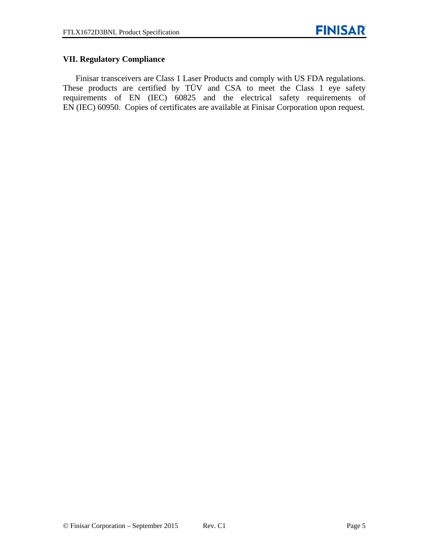#### **VII. Regulatory Compliance**

Finisar transceivers are Class 1 Laser Products and comply with US FDA regulations. These products are certified by TÜV and CSA to meet the Class 1 eye safety requirements of EN (IEC) 60825 and the electrical safety requirements of EN (IEC) 60950. Copies of certificates are available at Finisar Corporation upon request.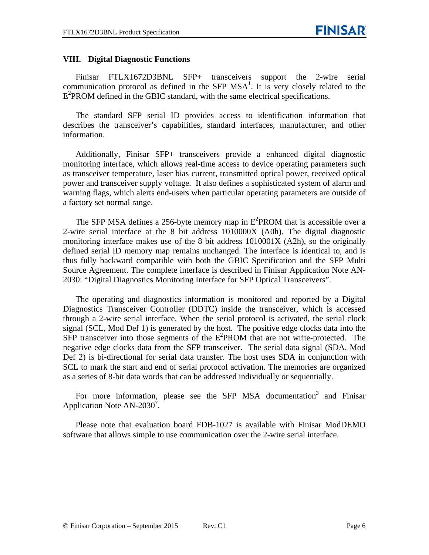#### **VIII. Digital Diagnostic Functions**

Finisar FTLX1672D3BNL SFP+ transceivers support the 2-wire serial communication protocol as defined in the SFP  $MSA<sup>1</sup>$ . It is very closely related to the E<sup>2</sup>PROM defined in the GBIC standard, with the same electrical specifications.

The standard SFP serial ID provides access to identification information that describes the transceiver's capabilities, standard interfaces, manufacturer, and other information.

Additionally, Finisar SFP+ transceivers provide a enhanced digital diagnostic monitoring interface, which allows real-time access to device operating parameters such as transceiver temperature, laser bias current, transmitted optical power, received optical power and transceiver supply voltage. It also defines a sophisticated system of alarm and warning flags, which alerts end-users when particular operating parameters are outside of a factory set normal range.

The SFP MSA defines a 256-byte memory map in  $E^2$ PROM that is accessible over a 2-wire serial interface at the 8 bit address 1010000X (A0h). The digital diagnostic monitoring interface makes use of the 8 bit address 1010001X (A2h), so the originally defined serial ID memory map remains unchanged. The interface is identical to, and is thus fully backward compatible with both the GBIC Specification and the SFP Multi Source Agreement. The complete interface is described in Finisar Application Note AN-2030: "Digital Diagnostics Monitoring Interface for SFP Optical Transceivers".

The operating and diagnostics information is monitored and reported by a Digital Diagnostics Transceiver Controller (DDTC) inside the transceiver, which is accessed through a 2-wire serial interface. When the serial protocol is activated, the serial clock signal (SCL, Mod Def 1) is generated by the host. The positive edge clocks data into the  $SFP$  transceiver into those segments of the  $E^2$ PROM that are not write-protected. The negative edge clocks data from the SFP transceiver. The serial data signal (SDA, Mod Def 2) is bi-directional for serial data transfer. The host uses SDA in conjunction with SCL to mark the start and end of serial protocol activation. The memories are organized as a series of 8-bit data words that can be addressed individually or sequentially.

For more information, please see the SFP MSA documentation<sup>3</sup> and Finisar Application Note  $AN-2030^7$ .

Please note that evaluation board FDB-1027 is available with Finisar ModDEMO software that allows simple to use communication over the 2-wire serial interface.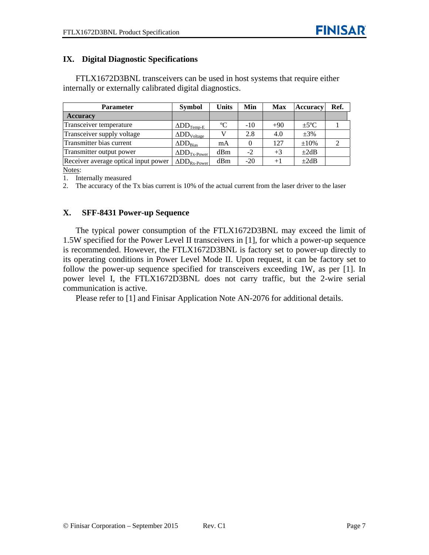#### **IX. Digital Diagnostic Specifications**

FTLX1672D3BNL transceivers can be used in host systems that require either internally or externally calibrated digital diagnostics.

| <b>Parameter</b>                     | <b>Symbol</b>                      | <b>Units</b> | Min   | <b>Max</b> | <b>Accuracy</b> | Ref. |
|--------------------------------------|------------------------------------|--------------|-------|------------|-----------------|------|
| <b>Accuracy</b>                      |                                    |              |       |            |                 |      |
| Transceiver temperature              | $\Delta \text{DD}_{\text{Temp-E}}$ | $\rm ^{o}C$  | $-10$ | $+90$      | $+5^{\circ}C$   |      |
| Transceiver supply voltage           | $\Delta DD_{\text{Voltage}}$       |              | 2.8   | 4.0        | $\pm 3\%$       |      |
| Transmitter bias current             | $\Delta DD_{Bias}$                 | mA           |       | 127        | $\pm 10\%$      |      |
| Transmitter output power             | $\Delta DD_{Tx\text{-Power}}$      | dBm          | $-2$  | $+3$       | $\pm 2dB$       |      |
| Receiver average optical input power | $\Delta DD_{Rx\text{-Power}}$      | dBm          | $-20$ | $+1$       | $\pm 2dB$       |      |

Notes:

1. Internally measured

2. The accuracy of the Tx bias current is 10% of the actual current from the laser driver to the laser

#### **X. SFF-8431 Power-up Sequence**

The typical power consumption of the FTLX1672D3BNL may exceed the limit of 1.5W specified for the Power Level II transceivers in [1], for which a power-up sequence is recommended. However, the FTLX1672D3BNL is factory set to power-up directly to its operating conditions in Power Level Mode II. Upon request, it can be factory set to follow the power-up sequence specified for transceivers exceeding 1W, as per [1]. In power level I, the FTLX1672D3BNL does not carry traffic, but the 2-wire serial communication is active.

Please refer to [1] and Finisar Application Note AN-2076 for additional details.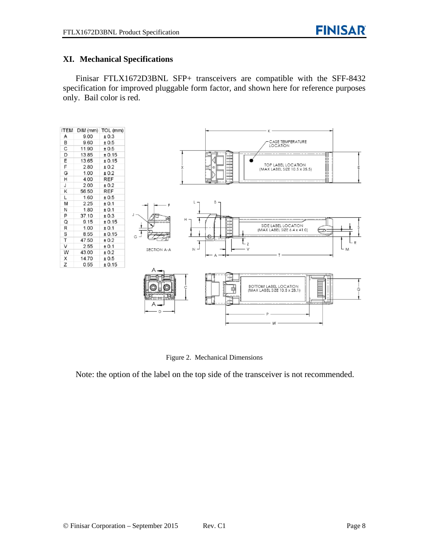#### **XI. Mechanical Specifications**

Finisar FTLX1672D3BNL SFP+ transceivers are compatible with the SFF-8432 specification for improved pluggable form factor, and shown here for reference purposes only. Bail color is red.



Figure 2. Mechanical Dimensions

Note: the option of the label on the top side of the transceiver is not recommended.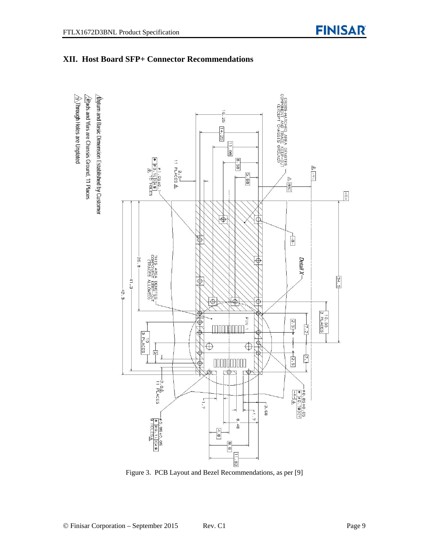

#### **XII. Host Board SFP+ Connector Recommendations**

Figure 3. PCB Layout and Bezel Recommendations, as per [9]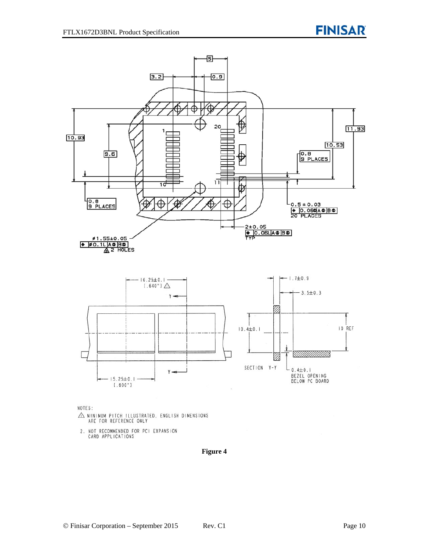

NOTES:

- $\triangle$  MINIMUM PITCH ILLUSTRATED, ENGLISH DIMENSIONS ARE FOR REFERENCE ONLY
- 2. NOT RECOMMENDED FOR PCI EXPANSION<br>CARD APPLICATIONS

#### **Figure 4**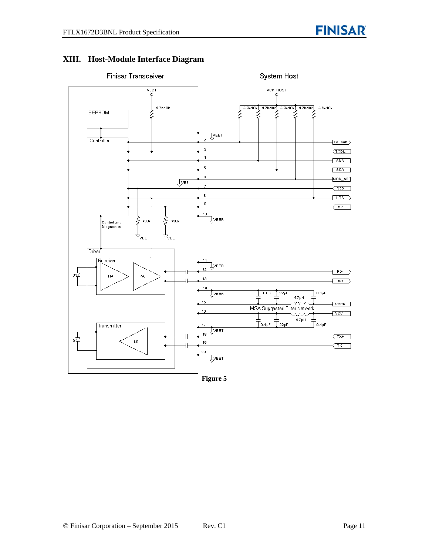# **XIII. Host-Module Interface Diagram**